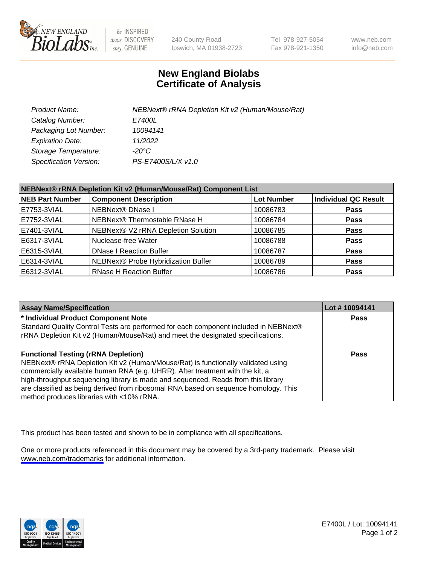

be INSPIRED drive DISCOVERY stay GENUINE

240 County Road Ipswich, MA 01938-2723 Tel 978-927-5054 Fax 978-921-1350

www.neb.com info@neb.com

## **New England Biolabs Certificate of Analysis**

| Product Name:           | NEBNext® rRNA Depletion Kit v2 (Human/Mouse/Rat) |
|-------------------------|--------------------------------------------------|
| Catalog Number:         | <i>E7400L</i>                                    |
| Packaging Lot Number:   | 10094141                                         |
| <b>Expiration Date:</b> | 11/2022                                          |
| Storage Temperature:    | -20°C                                            |
| Specification Version:  | PS-E7400S/L/X v1.0                               |

| NEBNext® rRNA Depletion Kit v2 (Human/Mouse/Rat) Component List |                                     |                   |                             |  |
|-----------------------------------------------------------------|-------------------------------------|-------------------|-----------------------------|--|
| <b>NEB Part Number</b>                                          | <b>Component Description</b>        | <b>Lot Number</b> | <b>Individual QC Result</b> |  |
| E7753-3VIAL                                                     | <b>NEBNext® DNase I</b>             | 10086783          | <b>Pass</b>                 |  |
| E7752-3VIAL                                                     | NEBNext® Thermostable RNase H       | 10086784          | <b>Pass</b>                 |  |
| E7401-3VIAL                                                     | NEBNext® V2 rRNA Depletion Solution | 10086785          | <b>Pass</b>                 |  |
| E6317-3VIAL                                                     | Nuclease-free Water                 | 10086788          | <b>Pass</b>                 |  |
| E6315-3VIAL                                                     | <b>DNase I Reaction Buffer</b>      | 10086787          | <b>Pass</b>                 |  |
| E6314-3VIAL                                                     | NEBNext® Probe Hybridization Buffer | 10086789          | <b>Pass</b>                 |  |
| E6312-3VIAL                                                     | <b>RNase H Reaction Buffer</b>      | 10086786          | <b>Pass</b>                 |  |

| <b>Assay Name/Specification</b>                                                      | Lot #10094141 |
|--------------------------------------------------------------------------------------|---------------|
| * Individual Product Component Note                                                  | <b>Pass</b>   |
| Standard Quality Control Tests are performed for each component included in NEBNext® |               |
| rRNA Depletion Kit v2 (Human/Mouse/Rat) and meet the designated specifications.      |               |
| <b>Functional Testing (rRNA Depletion)</b>                                           | Pass          |
| NEBNext® rRNA Depletion Kit v2 (Human/Mouse/Rat) is functionally validated using     |               |
| commercially available human RNA (e.g. UHRR). After treatment with the kit, a        |               |
| high-throughput sequencing library is made and sequenced. Reads from this library    |               |
| are classified as being derived from ribosomal RNA based on sequence homology. This  |               |
| method produces libraries with <10% rRNA.                                            |               |

This product has been tested and shown to be in compliance with all specifications.

One or more products referenced in this document may be covered by a 3rd-party trademark. Please visit <www.neb.com/trademarks>for additional information.